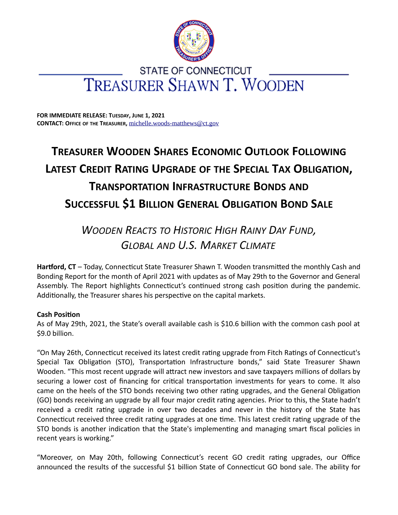

# **STATE OF CONNECTICUT** TREASURER SHAWN T. WOODEN

**FOR IMMEDIATE RELEASE: TUESDAY, JUNE 1, 2021 CONTACT: OFFICE OF THE TREASURER,** [michelle.woods-matthews@ct.gov](mailto:michelle.woods-matthews@ct.gov)

# **TREASURER WOODEN SHARES ECONOMIC OUTLOOK FOLLOWING LATEST CREDIT RATING UPGRADE OF THE SPECIAL TAX OBLIGATION, TRANSPORTATION INFRASTRUCTURE BONDS AND SUCCESSFUL \$1 BILLION GENERAL OBLIGATION BOND SALE**

# *WOODEN REACTS TO HISTORIC HIGH RAINY DAY FUND, GLOBAL AND U.S. MARKET CLIMATE*

**Hartford, CT** – Today, Connecticut State Treasurer Shawn T. Wooden transmitted the monthly Cash and Bonding Report for the month of April 2021 with updates as of May 29th to the Governor and General Assembly. The Report highlights Connecticut's continued strong cash position during the pandemic. Additionally, the Treasurer shares his perspective on the capital markets.

# **Cash Position**

As of May 29th, 2021, the State's overall available cash is \$10.6 billion with the common cash pool at \$9.0 billion.

"On May 26th, Connecticut received its latest credit rating upgrade from Fitch Ratings of Connecticut's Special Tax Obligation (STO), Transportation Infrastructure bonds," said State Treasurer Shawn Wooden. "This most recent upgrade will attract new investors and save taxpayers millions of dollars by securing a lower cost of financing for critical transportation investments for years to come. It also came on the heels of the STO bonds receiving two other rating upgrades, and the General Obligation (GO) bonds receiving an upgrade by all four major credit rating agencies. Prior to this, the State hadn't received a credit rating upgrade in over two decades and never in the history of the State has Connecticut received three credit rating upgrades at one time. This latest credit rating upgrade of the STO bonds is another indication that the State's implementing and managing smart fiscal policies in recent years is working."

"Moreover, on May 20th, following Connecticut's recent GO credit rating upgrades, our Office announced the results of the successful \$1 billion State of Connecticut GO bond sale. The ability for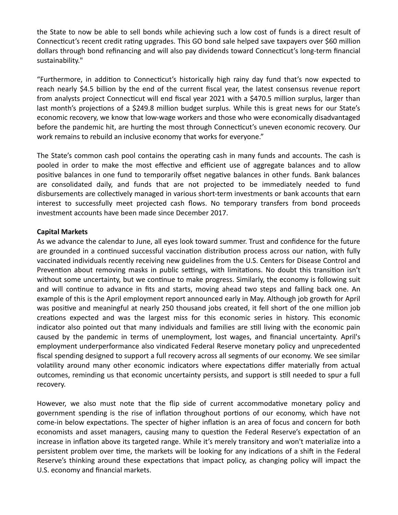the State to now be able to sell bonds while achieving such a low cost of funds is a direct result of Connecticut's recent credit rating upgrades. This GO bond sale helped save taxpayers over \$60 million dollars through bond refinancing and will also pay dividends toward Connecticut's long-term financial sustainability."

"Furthermore, in addition to Connecticut's historically high rainy day fund that's now expected to reach nearly \$4.5 billion by the end of the current fiscal year, the latest consensus revenue report from analysts project Connecticut will end fiscal year 2021 with a \$470.5 million surplus, larger than last month's projections of a \$249.8 million budget surplus. While this is great news for our State's economic recovery, we know that low-wage workers and those who were economically disadvantaged before the pandemic hit, are hurting the most through Connecticut's uneven economic recovery. Our work remains to rebuild an inclusive economy that works for everyone."

The State's common cash pool contains the operating cash in many funds and accounts. The cash is pooled in order to make the most effective and efficient use of aggregate balances and to allow positive balances in one fund to temporarily offset negative balances in other funds. Bank balances are consolidated daily, and funds that are not projected to be immediately needed to fund disbursements are collectively managed in various short-term investments or bank accounts that earn interest to successfully meet projected cash flows. No temporary transfers from bond proceeds investment accounts have been made since December 2017.

# **Capital Markets**

As we advance the calendar to June, all eyes look toward summer. Trust and confidence for the future are grounded in a continued successful vaccination distribution process across our nation, with fully vaccinated individuals recently receiving new guidelines from the U.S. Centers for Disease Control and Prevention about removing masks in public settings, with limitations. No doubt this transition isn't without some uncertainty, but we continue to make progress. Similarly, the economy is following suit and will continue to advance in fits and starts, moving ahead two steps and falling back one. An example of this is the April employment report announced early in May. Although job growth for April was positive and meaningful at nearly 250 thousand jobs created, it fell short of the one million job creations expected and was the largest miss for this economic series in history. This economic indicator also pointed out that many individuals and families are still living with the economic pain caused by the pandemic in terms of unemployment, lost wages, and financial uncertainty. April's employment underperformance also vindicated Federal Reserve monetary policy and unprecedented fiscal spending designed to support a full recovery across all segments of our economy. We see similar volatility around many other economic indicators where expectations differ materially from actual outcomes, reminding us that economic uncertainty persists, and support is still needed to spur a full recovery.

However, we also must note that the flip side of current accommodative monetary policy and government spending is the rise of inflation throughout portions of our economy, which have not come-in below expectations. The specter of higher inflation is an area of focus and concern for both economists and asset managers, causing many to question the Federal Reserve's expectation of an increase in inflation above its targeted range. While it's merely transitory and won't materialize into a persistent problem over time, the markets will be looking for any indications of a shift in the Federal Reserve's thinking around these expectations that impact policy, as changing policy will impact the U.S. economy and financial markets.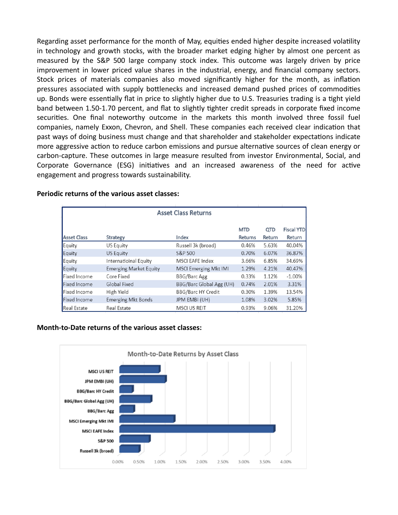Regarding asset performance for the month of May, equities ended higher despite increased volatility in technology and growth stocks, with the broader market edging higher by almost one percent as measured by the S&P 500 large company stock index. This outcome was largely driven by price improvement in lower priced value shares in the industrial, energy, and financial company sectors. Stock prices of materials companies also moved significantly higher for the month, as inflation pressures associated with supply bottlenecks and increased demand pushed prices of commodities up. Bonds were essentially flat in price to slightly higher due to U.S. Treasuries trading is a tight yield band between 1.50-1.70 percent, and flat to slightly tighter credit spreads in corporate fixed income securities. One final noteworthy outcome in the markets this month involved three fossil fuel companies, namely Exxon, Chevron, and Shell. These companies each received clear indication that past ways of doing business must change and that shareholder and stakeholder expectations indicate more aggressive action to reduce carbon emissions and pursue alternative sources of clean energy or carbon-capture. These outcomes in large measure resulted from investor Environmental, Social, and Corporate Governance (ESG) initiatives and an increased awareness of the need for active engagement and progress towards sustainability.

| <b>Asset Class Returns</b> |                               |                              |                |        |                   |
|----------------------------|-------------------------------|------------------------------|----------------|--------|-------------------|
|                            |                               |                              |                |        |                   |
|                            |                               |                              | <b>MTD</b>     | QTD    | <b>Fiscal YTD</b> |
| <b>Asset Class</b>         | <b>Strategy</b>               | Index                        | <b>Returns</b> | Return | Return            |
| Equity                     | US Equity                     | Russell 3k (broad)           | 0.46%          | 5.63%  | 40.04%            |
| Equity                     | US Equity                     | S&P 500                      | 0.70%          | 6.07%  | 36.87%            |
| Equity                     | Internatioinal Equity         | <b>MSCI EAFE Index</b>       | 3.66%          | 6.85%  | 34.69%            |
| Equity                     | <b>Emerging Market Equity</b> | <b>MSCI Emerging Mkt IMI</b> | 1.29%          | 4.21%  | 40.47%            |
| Fixed Income               | Core Fixed                    | <b>BBG/Barc Agg</b>          | 0.33%          | 1.12%  | $-1.00%$          |
| <b>Fixed Income</b>        | Global Fixed                  | BBG/Barc Global Agg (UH)     | 0.74%          | 2.01%  | 3.31%             |
| Fixed Income               | High Yield                    | <b>BBG/Barc HY Credit</b>    | 0.30%          | 1.39%  | 13.54%            |
| <b>Fixed Income</b>        | <b>Emerging Mkt Bonds</b>     | <b>JPM EMBI (UH)</b>         | 1.08%          | 3.02%  | 5.85%             |
| <b>Real Estate</b>         | <b>Real Estate</b>            | <b>MSCI US REIT</b>          | 0.93%          | 9.06%  | 31.20%            |

### **Periodic returns of the various asset classes:**

#### **Month-to-Date returns of the various asset classes:**

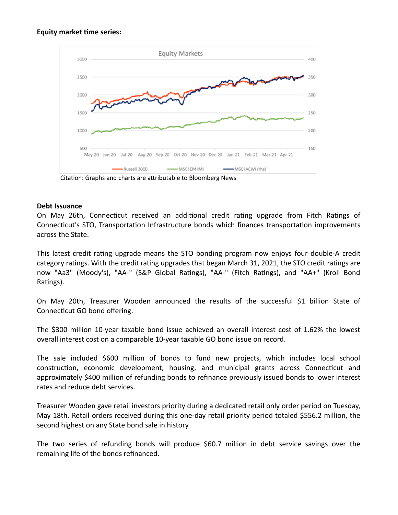## **Equity market time series:**



Citation: Graphs and charts are attributable to Bloomberg News

## **Debt Issuance**

On May 26th, Connecticut received an additional credit rating upgrade from Fitch Ratings of Connecticut's STO, Transportation Infrastructure bonds which finances transportation improvements across the State.

This latest credit rating upgrade means the STO bonding program now enjoys four double-A credit category ratings. With the credit rating upgrades that began March 31, 2021, the STO credit ratings are now "Aa3" (Moody's), "AA-" (S&P Global Ratings), "AA-" (Fitch Ratings), and "AA+" (Kroll Bond Ratings).

On May 20th, Treasurer Wooden announced the results of the successful \$1 billion State of Connecticut GO bond offering.

The \$300 million 10-year taxable bond issue achieved an overall interest cost of 1.62% the lowest overall interest cost on a comparable 10-year taxable GO bond issue on record.

The sale included \$600 million of bonds to fund new projects, which includes local school construction, economic development, housing, and municipal grants across Connecticut and approximately \$400 million of refunding bonds to refinance previously issued bonds to lower interest rates and reduce debt services.

Treasurer Wooden gave retail investors priority during a dedicated retail only order period on Tuesday, May 18th. Retail orders received during this one-day retail priority period totaled \$556.2 million, the second highest on any State bond sale in history.

The two series of refunding bonds will produce \$60.7 million in debt service savings over the remaining life of the bonds refinanced.